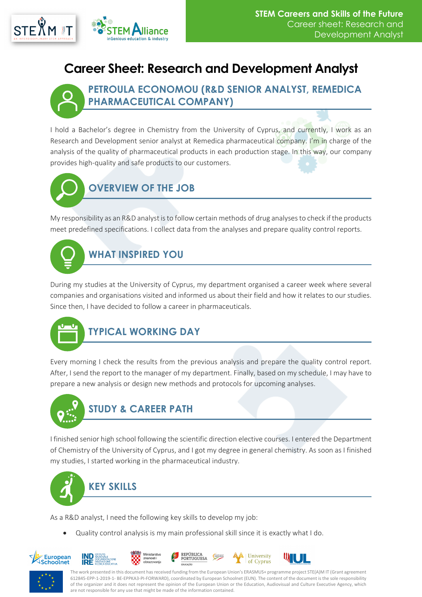

## **Career Sheet: Research and Development Analyst**



#### **PETROULA ECONOMOU (R&D SENIOR ANALYST, REMEDICA PHARMACEUTICAL COMPANY)**

I hold a Bachelor's degree in Chemistry from the University of Cyprus, and currently, I work as an Research and Development senior analyst at Remedica pharmaceutical company. I'm in charge of the analysis of the quality of pharmaceutical products in each production stage. In this way, our company provides high-quality and safe products to our customers.

# **OVERVIEW OF THE JOB**

My responsibility as an R&D analyst is to follow certain methods of drug analyses to check if the products meet predefined specifications. I collect data from the analyses and prepare quality control reports.



During my studies at the University of Cyprus, my department organised a career week where several companies and organisations visited and informed us about their field and how it relates to our studies. Since then, I have decided to follow a career in pharmaceuticals.



## **TYPICAL WORKING DAY**

Every morning I check the results from the previous analysis and prepare the quality control report. After, I send the report to the manager of my department. Finally, based on my schedule, I may have to prepare a new analysis or design new methods and protocols for upcoming analyses.



I finished senior high school following the scientific direction elective courses. I entered the Department of Chemistry of the University of Cyprus, and I got my degree in general chemistry. As soon as I finished my studies, I started working in the pharmaceutical industry.



As a R&D analyst, I need the following key skills to develop my job:

• Quality control analysis is my main professional skill since it is exactly what I do.





The work presented in this document has received funding from the European Union's ERASMUS+ programme project STE(A)M IT (Grant agreement 612845-EPP-1-2019-1- BE-EPPKA3-PI-FORWARD), coordinated by European Schoolnet (EUN). The content of the document is the sole responsibility of the organizer and it does not represent the opinion of the European Union or the Education, Audiovisual and Culture Executive Agency, which are not responsible for any use that might be made of the information contained.

University

of Cyprus